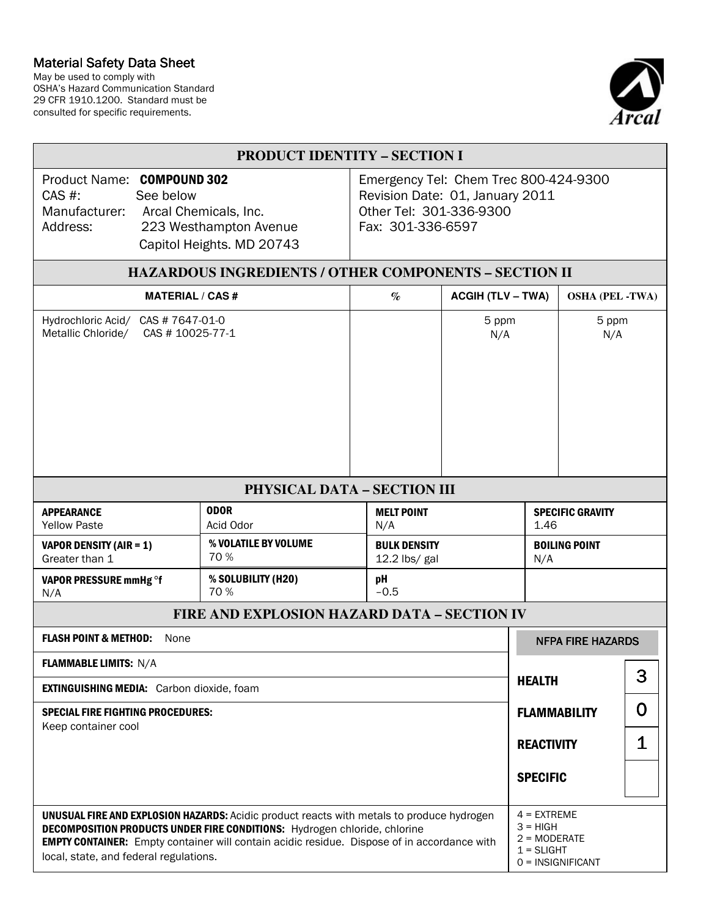## Material Safety Data Sheet

May be used to comply with OSHA's Hazard Communication Standard 29 CFR 1910.1200. Standard must be consulted for specific requirements.



| <b>PRODUCT IDENTITY - SECTION I</b>                                                                                                                                                                                                                                                                                           |                                                                                                                          |                                      |              |                          |                                                                                      |                     |                          |   |  |  |
|-------------------------------------------------------------------------------------------------------------------------------------------------------------------------------------------------------------------------------------------------------------------------------------------------------------------------------|--------------------------------------------------------------------------------------------------------------------------|--------------------------------------|--------------|--------------------------|--------------------------------------------------------------------------------------|---------------------|--------------------------|---|--|--|
| Product Name: COMPOUND 302<br>$CAS$ #:<br>See below<br>Manufacturer:<br>Arcal Chemicals, Inc.<br>Address:<br>223 Westhampton Avenue<br>Capitol Heights. MD 20743                                                                                                                                                              | Emergency Tel: Chem Trec 800-424-9300<br>Revision Date: 01, January 2011<br>Other Tel: 301-336-9300<br>Fax: 301-336-6597 |                                      |              |                          |                                                                                      |                     |                          |   |  |  |
| HAZARDOUS INGREDIENTS / OTHER COMPONENTS - SECTION II                                                                                                                                                                                                                                                                         |                                                                                                                          |                                      |              |                          |                                                                                      |                     |                          |   |  |  |
| <b>MATERIAL / CAS #</b>                                                                                                                                                                                                                                                                                                       |                                                                                                                          |                                      | $\%$         | <b>ACGIH (TLV – TWA)</b> |                                                                                      |                     | <b>OSHA (PEL-TWA)</b>    |   |  |  |
| Hydrochloric Acid/ CAS # 7647-01-0<br>Metallic Chloride/ CAS # 10025-77-1                                                                                                                                                                                                                                                     |                                                                                                                          |                                      |              | 5 ppm<br>N/A             |                                                                                      | 5 ppm<br>N/A        |                          |   |  |  |
| PHYSICAL DATA - SECTION III                                                                                                                                                                                                                                                                                                   |                                                                                                                          |                                      |              |                          |                                                                                      |                     |                          |   |  |  |
| <b>APPEARANCE</b><br><b>Yellow Paste</b>                                                                                                                                                                                                                                                                                      | <b>ODOR</b><br>Acid Odor                                                                                                 | <b>MELT POINT</b><br>N/A             |              |                          | <b>SPECIFIC GRAVITY</b><br>1.46                                                      |                     |                          |   |  |  |
| <b>VAPOR DENSITY (AIR = 1)</b><br>Greater than 1                                                                                                                                                                                                                                                                              | % VOLATILE BY VOLUME<br>70%                                                                                              | <b>BULK DENSITY</b><br>12.2 lbs/ gal |              |                          | <b>BOILING POINT</b><br>N/A                                                          |                     |                          |   |  |  |
| VAPOR PRESSURE mmHg °f<br>N/A                                                                                                                                                                                                                                                                                                 | % SOLUBILITY (H20)<br>70 %                                                                                               |                                      | pH<br>$-0.5$ |                          |                                                                                      |                     |                          |   |  |  |
| <b>FIRE AND EXPLOSION HAZARD DATA - SECTION IV</b>                                                                                                                                                                                                                                                                            |                                                                                                                          |                                      |              |                          |                                                                                      |                     |                          |   |  |  |
| <b>FLASH POINT &amp; METHOD:</b> None                                                                                                                                                                                                                                                                                         |                                                                                                                          |                                      |              |                          |                                                                                      |                     | <b>NFPA FIRE HAZARDS</b> |   |  |  |
| <b>FLAMMABLE LIMITS: N/A</b>                                                                                                                                                                                                                                                                                                  |                                                                                                                          |                                      |              |                          |                                                                                      |                     | 3                        |   |  |  |
| <b>EXTINGUISHING MEDIA:</b> Carbon dioxide, foam                                                                                                                                                                                                                                                                              |                                                                                                                          |                                      |              |                          |                                                                                      | <b>HEALTH</b>       |                          |   |  |  |
| <b>SPECIAL FIRE FIGHTING PROCEDURES:</b><br>Keep container cool                                                                                                                                                                                                                                                               |                                                                                                                          |                                      |              |                          |                                                                                      | <b>FLAMMABILITY</b> |                          | O |  |  |
|                                                                                                                                                                                                                                                                                                                               |                                                                                                                          |                                      |              |                          |                                                                                      | <b>REACTIVITY</b>   |                          | 1 |  |  |
|                                                                                                                                                                                                                                                                                                                               |                                                                                                                          |                                      |              |                          | <b>SPECIFIC</b>                                                                      |                     |                          |   |  |  |
| <b>UNUSUAL FIRE AND EXPLOSION HAZARDS:</b> Acidic product reacts with metals to produce hydrogen<br>DECOMPOSITION PRODUCTS UNDER FIRE CONDITIONS: Hydrogen chloride, chlorine<br><b>EMPTY CONTAINER:</b> Empty container will contain acidic residue. Dispose of in accordance with<br>local, state, and federal regulations. |                                                                                                                          |                                      |              |                          | $4 = EXTREME$<br>$3 = HIGH$<br>$2 = MODERATE$<br>$1 = SLIGHT$<br>$0 = INSIGNIFICANT$ |                     |                          |   |  |  |